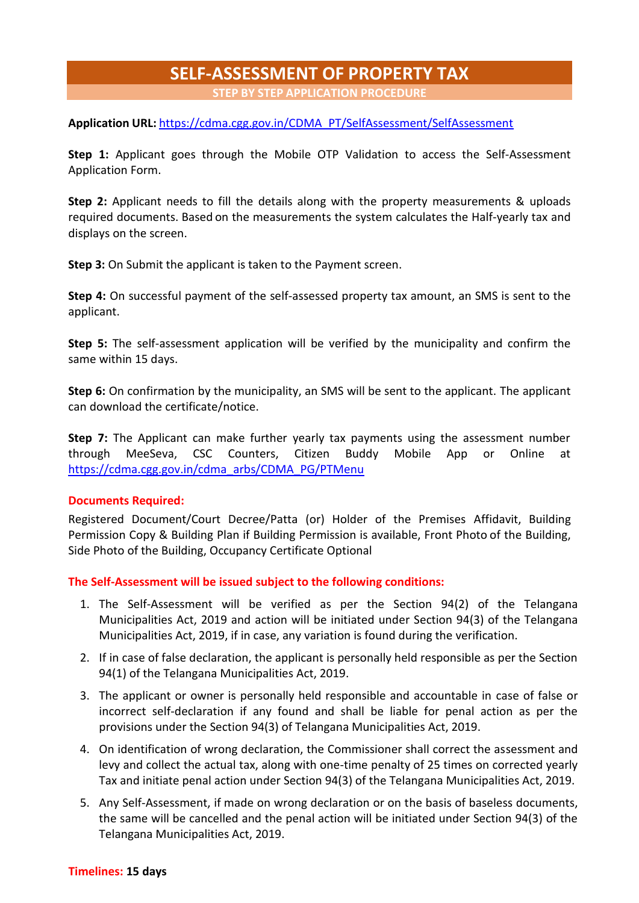## **SELF-ASSESSMENT OF PROPERTY TAX**

**STEP BY STEP APPLICATION PROCEDURE**

**Application URL:** [https://cdma.cgg.gov.in/CDMA\\_PT/SelfAssessment/SelfAssessment](https://cdma.cgg.gov.in/CDMA_PT/SelfAssessment/SelfAssessment)

**Step 1:** Applicant goes through the Mobile OTP Validation to access the Self-Assessment Application Form.

**Step 2:** Applicant needs to fill the details along with the property measurements & uploads required documents. Based on the measurements the system calculates the Half-yearly tax and displays on the screen.

**Step 3:** On Submit the applicant is taken to the Payment screen.

**Step 4:** On successful payment of the self-assessed property tax amount, an SMS is sent to the applicant.

**Step 5:** The self-assessment application will be verified by the municipality and confirm the same within 15 days.

**Step 6:** On confirmation by the municipality, an SMS will be sent to the applicant. The applicant can download the certificate/notice.

**Step 7:** The Applicant can make further yearly tax payments using the assessment number through MeeSeva, CSC Counters, Citizen Buddy Mobile App or Online at [https://cdma.cgg.gov.in/cdma\\_arbs/CDMA\\_PG/PTMenu](https://cdma.cgg.gov.in/cdma_arbs/CDMA_PG/PTMenu)

## **Documents Required:**

Registered Document/Court Decree/Patta (or) Holder of the Premises Affidavit, Building Permission Copy & Building Plan if Building Permission is available, Front Photo of the Building, Side Photo of the Building, Occupancy Certificate Optional

**The Self-Assessment will be issued subject to the following conditions:**

- 1. The Self-Assessment will be verified as per the Section 94(2) of the Telangana Municipalities Act, 2019 and action will be initiated under Section 94(3) of the Telangana Municipalities Act, 2019, if in case, any variation is found during the verification.
- 2. If in case of false declaration, the applicant is personally held responsible as per the Section 94(1) of the Telangana Municipalities Act, 2019.
- 3. The applicant or owner is personally held responsible and accountable in case of false or incorrect self-declaration if any found and shall be liable for penal action as per the provisions under the Section 94(3) of Telangana Municipalities Act, 2019.
- 4. On identification of wrong declaration, the Commissioner shall correct the assessment and levy and collect the actual tax, along with one-time penalty of 25 times on corrected yearly Tax and initiate penal action under Section 94(3) of the Telangana Municipalities Act, 2019.
- 5. Any Self-Assessment, if made on wrong declaration or on the basis of baseless documents, the same will be cancelled and the penal action will be initiated under Section 94(3) of the Telangana Municipalities Act, 2019.